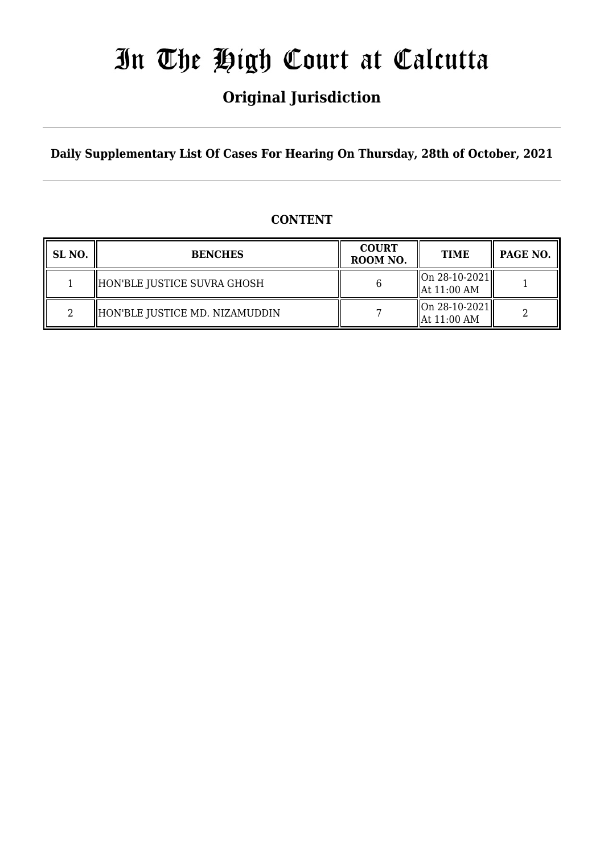# In The High Court at Calcutta

# **Original Jurisdiction**

**Daily Supplementary List Of Cases For Hearing On Thursday, 28th of October, 2021**

# **CONTENT**

| SL NO. | <b>BENCHES</b>                 | <b>COURT</b><br>ROOM NO. | <b>TIME</b>                                         | PAGE NO. |
|--------|--------------------------------|--------------------------|-----------------------------------------------------|----------|
|        | HON'BLE JUSTICE SUVRA GHOSH    |                          | $\vert$ On 28-10-2021 $\vert\vert$<br>  At 11:00 AM |          |
|        | HON'BLE JUSTICE MD. NIZAMUDDIN |                          | $\ $ On 28-10-2021 $\ $<br>  At 11:00 AM            |          |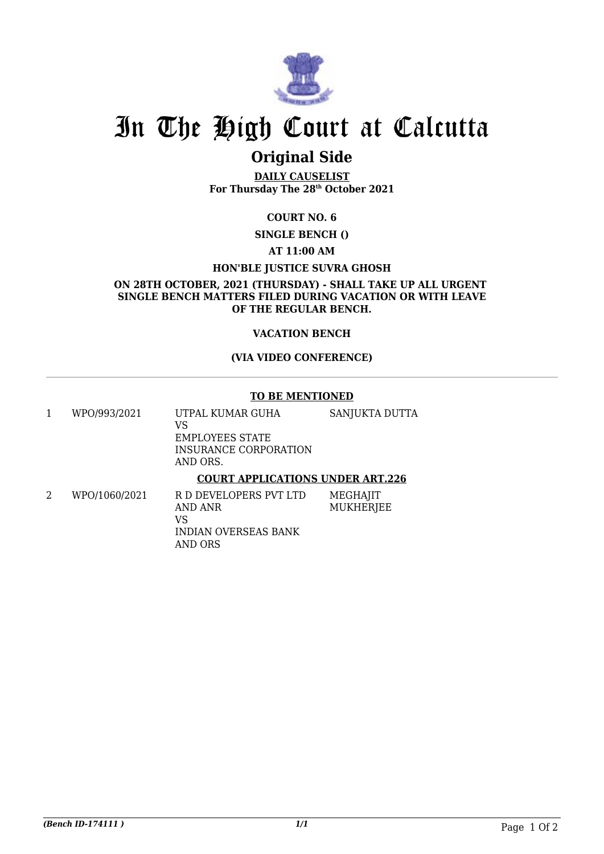

# In The High Court at Calcutta

# **Original Side**

**DAILY CAUSELIST For Thursday The 28th October 2021**

## **COURT NO. 6**

**SINGLE BENCH ()**

### **AT 11:00 AM**

### **HON'BLE JUSTICE SUVRA GHOSH**

**ON 28TH OCTOBER, 2021 (THURSDAY) - SHALL TAKE UP ALL URGENT SINGLE BENCH MATTERS FILED DURING VACATION OR WITH LEAVE OF THE REGULAR BENCH.**

### **VACATION BENCH**

### **(VIA VIDEO CONFERENCE)**

#### **TO BE MENTIONED**

- 1 WPO/993/2021 UTPAL KUMAR GUHA VS EMPLOYEES STATE INSURANCE CORPORATION AND ORS. SANJUKTA DUTTA **COURT APPLICATIONS UNDER ART.226**
- 2 WPO/1060/2021 R D DEVELOPERS PVT LTD AND ANR VS INDIAN OVERSEAS BANK AND ORS **MEGHAIIT MUKHERIEE**